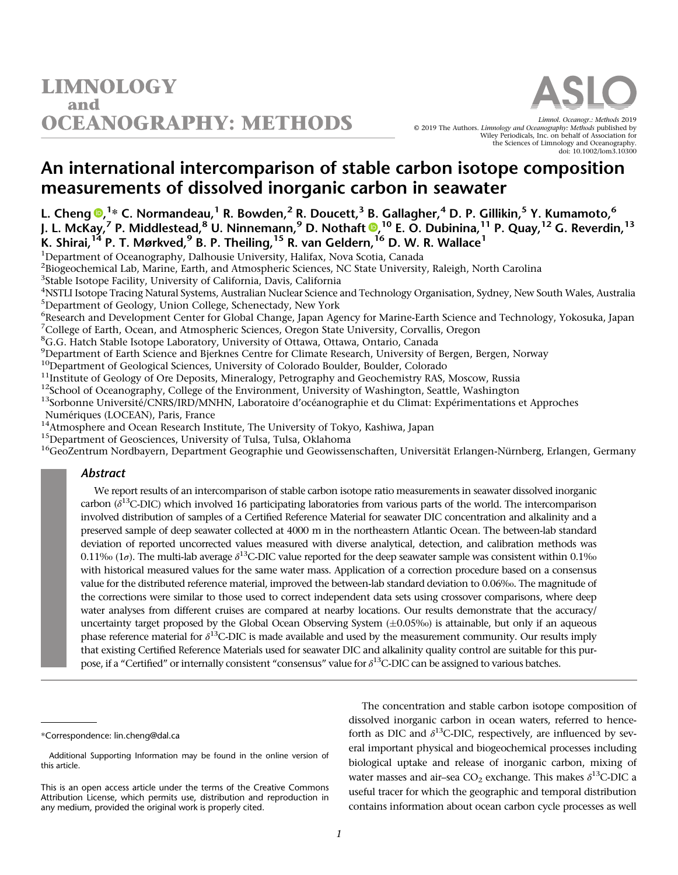# An international intercomparison of stable carbon isotope composition measurements of dissolved inorganic carbon in seawater

L. Cheng <sup>®, 1</sup>\* C. Normandeau, <sup>1</sup> R. Bowden, <sup>2</sup> R. Doucett, <sup>3</sup> B. Gallagher, <sup>4</sup> D. P. Gillikin, <sup>5</sup> Y. Kumamoto, <sup>6</sup> J. L. McKay,<sup>7</sup> P. Middlestead,<sup>8</sup> U. Ninnemann,<sup>9</sup> D. Nothaft **®**,<sup>10</sup> E. O. Dubinina,<sup>11</sup> P. Quay,<sup>12</sup> G. Reverdin,<sup>13</sup> K. Shirai, $^{14}$  P. T. Mørkved, $^9$  B. P. Theiling, $^{15}$  R. van Geldern, $^{16}$  D. W. R. Wallace $^1$ 

<sup>1</sup>Department of Oceanography, Dalhousie University, Halifax, Nova Scotia, Canada <sup>2</sup>Biogeochemical Lab, Marine, Earth, and Atmospheric Sciences, NC State University, Raleigh, North Carolina <sup>3</sup>Stable Isotope Facility, University of California, Davis, California

4 NSTLI Isotope Tracing Natural Systems, Australian Nuclear Science and Technology Organisation, Sydney, New South Wales, Australia 5 Department of Geology, Union College, Schenectady, New York

6 Research and Development Center for Global Change, Japan Agency for Marine-Earth Science and Technology, Yokosuka, Japan

<sup>7</sup>College of Earth, Ocean, and Atmospheric Sciences, Oregon State University, Corvallis, Oregon

<sup>8</sup>G.G. Hatch Stable Isotope Laboratory, University of Ottawa, Ottawa, Ontario, Canada

<sup>9</sup>Department of Earth Science and Bjerknes Centre for Climate Research, University of Bergen, Bergen, Norway

<sup>10</sup>Department of Geological Sciences, University of Colorado Boulder, Boulder, Colorado<br><sup>11</sup>Institute of Geology of Ore Deposits, Mineralogy, Petrography and Geochemistry RAS, Moscow, Russia<br><sup>12</sup>School of Oceanography, C Numériques (LOCEAN), Paris, France<br><sup>14</sup>Atmosphere and Ocean Research Institute, The University of Tokyo, Kashiwa, Japan

<sup>15</sup>Department of Geosciences, University of Tulsa, Tulsa, Oklahoma<br><sup>16</sup>GeoZentrum Nordbayern, Department Geographie und Geowissenschaften, Universität Erlangen-Nürnberg, Erlangen, Germany

## Abstract

We report results of an intercomparison of stable carbon isotope ratio measurements in seawater dissolved inorganic carbon ( $\delta^{13}$ C-DIC) which involved 16 participating laboratories from various parts of the world. The intercomparison involved distribution of samples of a Certified Reference Material for seawater DIC concentration and alkalinity and a preserved sample of deep seawater collected at 4000 m in the northeastern Atlantic Ocean. The between-lab standard deviation of reported uncorrected values measured with diverse analytical, detection, and calibration methods was 0.11‰ (1 $\sigma$ ). The multi-lab average  $\delta^{13}$ C-DIC value reported for the deep seawater sample was consistent within 0.1‰ with historical measured values for the same water mass. Application of a correction procedure based on a consensus value for the distributed reference material, improved the between-lab standard deviation to 0.06‰. The magnitude of the corrections were similar to those used to correct independent data sets using crossover comparisons, where deep water analyses from different cruises are compared at nearby locations. Our results demonstrate that the accuracy/ uncertainty target proposed by the Global Ocean Observing System  $(\pm 0.05\%)$  is attainable, but only if an aqueous phase reference material for  $\delta^{13}$ C-DIC is made available and used by the measurement community. Our results imply that existing Certified Reference Materials used for seawater DIC and alkalinity quality control are suitable for this purpose, if a "Certified" or internally consistent "consensus" value for  $\delta^{13}$ C-DIC can be assigned to various batches.

The concentration and stable carbon isotope composition of dissolved inorganic carbon in ocean waters, referred to henceforth as DIC and  $\delta^{13}$ C-DIC, respectively, are influenced by several important physical and biogeochemical processes including biological uptake and release of inorganic carbon, mixing of water masses and air–sea  $CO_2$  exchange. This makes  $\delta^{13}$ C-DIC a useful tracer for which the geographic and temporal distribution contains information about ocean carbon cycle processes as well

<sup>\*</sup>Correspondence: [lin.cheng@dal.ca](mailto:lin.cheng@dal.ca)

Additional Supporting Information may be found in the online version of this article.

This is an open access article under the terms of the [Creative Commons](http://creativecommons.org/licenses/by/4.0/) [Attribution](http://creativecommons.org/licenses/by/4.0/) License, which permits use, distribution and reproduction in any medium, provided the original work is properly cited.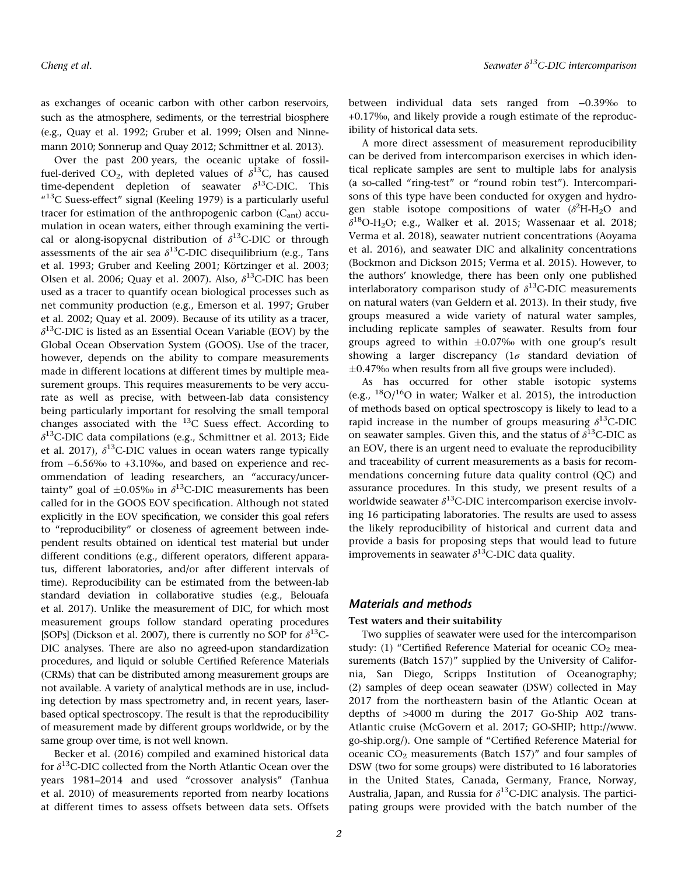as exchanges of oceanic carbon with other carbon reservoirs, such as the atmosphere, sediments, or the terrestrial biosphere (e.g., Quay et al. 1992; Gruber et al. 1999; Olsen and Ninnemann 2010; Sonnerup and Quay 2012; Schmittner et al. 2013).

Over the past 200 years, the oceanic uptake of fossilfuel-derived CO<sub>2</sub>, with depleted values of  $\delta^{13}C$ , has caused time-dependent depletion of seawater  $\delta^{13}$ C-DIC. This  $413^{\circ}$ C Suess-effect" signal (Keeling 1979) is a particularly useful tracer for estimation of the anthropogenic carbon  $(C_{ant})$  accumulation in ocean waters, either through examining the vertical or along-isopycnal distribution of  $\delta^{13}$ C-DIC or through assessments of the air sea  $\delta^{13}$ C-DIC disequilibrium (e.g., Tans et al. 1993; Gruber and Keeling 2001; Körtzinger et al. 2003; Olsen et al. 2006; Quay et al. 2007). Also,  $\delta^{13}$ C-DIC has been used as a tracer to quantify ocean biological processes such as net community production (e.g., Emerson et al. 1997; Gruber et al. 2002; Quay et al. 2009). Because of its utility as a tracer,  $\delta^{13}$ C-DIC is listed as an Essential Ocean Variable (EOV) by the Global Ocean Observation System (GOOS). Use of the tracer, however, depends on the ability to compare measurements made in different locations at different times by multiple measurement groups. This requires measurements to be very accurate as well as precise, with between-lab data consistency being particularly important for resolving the small temporal changes associated with the  $^{13}$ C Suess effect. According to  $\delta^{13}$ C-DIC data compilations (e.g., Schmittner et al. 2013; Eide et al. 2017),  $\delta^{13}$ C-DIC values in ocean waters range typically from −6.56‰ to +3.10‰, and based on experience and recommendation of leading researchers, an "accuracy/uncertainty" goal of  $\pm 0.05\%$  in  $\delta^{13}$ C-DIC measurements has been called for in the GOOS EOV specification. Although not stated explicitly in the EOV specification, we consider this goal refers to "reproducibility" or closeness of agreement between independent results obtained on identical test material but under different conditions (e.g., different operators, different apparatus, different laboratories, and/or after different intervals of time). Reproducibility can be estimated from the between-lab standard deviation in collaborative studies (e.g., Belouafa et al. 2017). Unlike the measurement of DIC, for which most measurement groups follow standard operating procedures [SOPs] (Dickson et al. 2007), there is currently no SOP for  $\delta^{13}$ C-DIC analyses. There are also no agreed-upon standardization procedures, and liquid or soluble Certified Reference Materials (CRMs) that can be distributed among measurement groups are not available. A variety of analytical methods are in use, including detection by mass spectrometry and, in recent years, laserbased optical spectroscopy. The result is that the reproducibility of measurement made by different groups worldwide, or by the same group over time, is not well known.

Becker et al. (2016) compiled and examined historical data for  $\delta^{13}$ C-DIC collected from the North Atlantic Ocean over the years 1981–2014 and used "crossover analysis" (Tanhua et al. 2010) of measurements reported from nearby locations at different times to assess offsets between data sets. Offsets between individual data sets ranged from −0.39‰ to +0.17‰, and likely provide a rough estimate of the reproducibility of historical data sets.

A more direct assessment of measurement reproducibility can be derived from intercomparison exercises in which identical replicate samples are sent to multiple labs for analysis (a so-called "ring-test" or "round robin test"). Intercomparisons of this type have been conducted for oxygen and hydrogen stable isotope compositions of water  $(\delta^2 H - H_2 O)$  and  $\delta^{18}$ O-H<sub>2</sub>O; e.g., Walker et al. 2015; Wassenaar et al. 2018; Verma et al. 2018), seawater nutrient concentrations (Aoyama et al. 2016), and seawater DIC and alkalinity concentrations (Bockmon and Dickson 2015; Verma et al. 2015). However, to the authors' knowledge, there has been only one published interlaboratory comparison study of  $\delta^{13}$ C-DIC measurements on natural waters (van Geldern et al. 2013). In their study, five groups measured a wide variety of natural water samples, including replicate samples of seawater. Results from four groups agreed to within  $\pm 0.07\%$  with one group's result showing a larger discrepancy ( $1\sigma$  standard deviation of  $\pm 0.47$ % when results from all five groups were included).

As has occurred for other stable isotopic systems (e.g.,  $^{18}O/^{16}O$  in water; Walker et al. 2015), the introduction of methods based on optical spectroscopy is likely to lead to a rapid increase in the number of groups measuring  $\delta^{13}$ C-DIC on seawater samples. Given this, and the status of  $\delta^{13}$ C-DIC as an EOV, there is an urgent need to evaluate the reproducibility and traceability of current measurements as a basis for recommendations concerning future data quality control (QC) and assurance procedures. In this study, we present results of a worldwide seawater  $\delta^{13}$ C-DIC intercomparison exercise involving 16 participating laboratories. The results are used to assess the likely reproducibility of historical and current data and provide a basis for proposing steps that would lead to future improvements in seawater  $\delta^{13}$ C-DIC data quality.

## Materials and methods

#### Test waters and their suitability

Two supplies of seawater were used for the intercomparison study: (1) "Certified Reference Material for oceanic  $CO<sub>2</sub>$  measurements (Batch 157)" supplied by the University of California, San Diego, Scripps Institution of Oceanography; (2) samples of deep ocean seawater (DSW) collected in May 2017 from the northeastern basin of the Atlantic Ocean at depths of >4000 m during the 2017 Go-Ship A02 trans-Atlantic cruise (McGovern et al. 2017; GO-SHIP; [http://www.](http://www.go-ship.org/) [go-ship.org/](http://www.go-ship.org/)). One sample of "Certified Reference Material for oceanic  $CO<sub>2</sub>$  measurements (Batch 157)" and four samples of DSW (two for some groups) were distributed to 16 laboratories in the United States, Canada, Germany, France, Norway, Australia, Japan, and Russia for  $\delta^{13}$ C-DIC analysis. The participating groups were provided with the batch number of the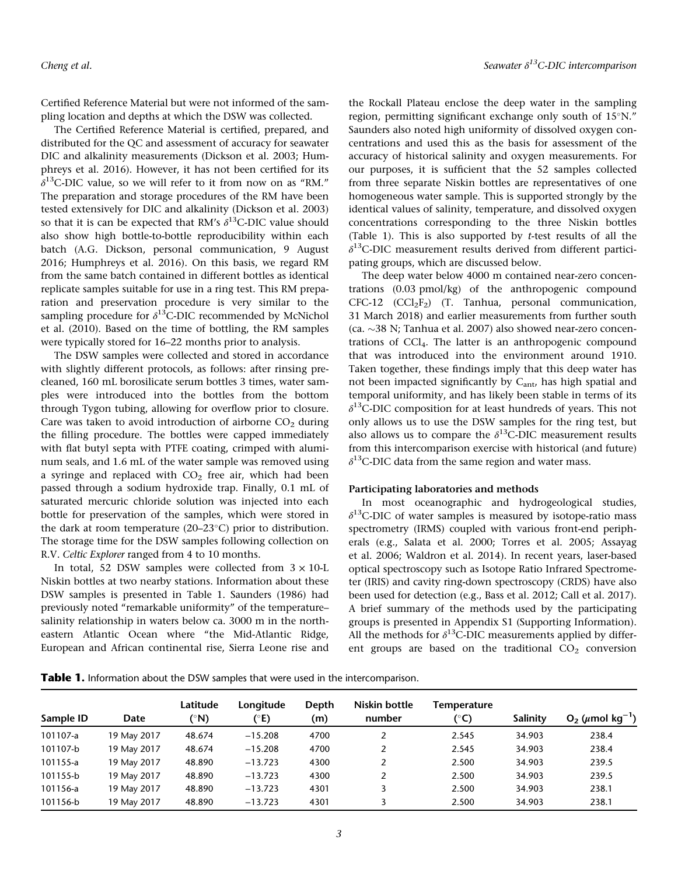Certified Reference Material but were not informed of the sampling location and depths at which the DSW was collected.

The Certified Reference Material is certified, prepared, and distributed for the QC and assessment of accuracy for seawater DIC and alkalinity measurements (Dickson et al. 2003; Humphreys et al. 2016). However, it has not been certified for its  $\delta^{13}$ C-DIC value, so we will refer to it from now on as "RM." The preparation and storage procedures of the RM have been tested extensively for DIC and alkalinity (Dickson et al. 2003) so that it is can be expected that RM's  $\delta^{13}$ C-DIC value should also show high bottle-to-bottle reproducibility within each batch (A.G. Dickson, personal communication, 9 August 2016; Humphreys et al. 2016). On this basis, we regard RM from the same batch contained in different bottles as identical replicate samples suitable for use in a ring test. This RM preparation and preservation procedure is very similar to the sampling procedure for  $\delta^{13}$ C-DIC recommended by McNichol et al. (2010). Based on the time of bottling, the RM samples were typically stored for 16–22 months prior to analysis.

The DSW samples were collected and stored in accordance with slightly different protocols, as follows: after rinsing precleaned, 160 mL borosilicate serum bottles 3 times, water samples were introduced into the bottles from the bottom through Tygon tubing, allowing for overflow prior to closure. Care was taken to avoid introduction of airborne  $CO<sub>2</sub>$  during the filling procedure. The bottles were capped immediately with flat butyl septa with PTFE coating, crimped with aluminum seals, and 1.6 mL of the water sample was removed using a syringe and replaced with  $CO<sub>2</sub>$  free air, which had been passed through a sodium hydroxide trap. Finally, 0.1 mL of saturated mercuric chloride solution was injected into each bottle for preservation of the samples, which were stored in the dark at room temperature (20–23 $\textdegree$ C) prior to distribution. The storage time for the DSW samples following collection on R.V. Celtic Explorer ranged from 4 to 10 months.

In total, 52 DSW samples were collected from  $3 \times 10$ -L Niskin bottles at two nearby stations. Information about these DSW samples is presented in Table 1. Saunders (1986) had previously noted "remarkable uniformity" of the temperature– salinity relationship in waters below ca. 3000 m in the northeastern Atlantic Ocean where "the Mid-Atlantic Ridge, European and African continental rise, Sierra Leone rise and the Rockall Plateau enclose the deep water in the sampling region, permitting significant exchange only south of  $15^{\circ}$ N." Saunders also noted high uniformity of dissolved oxygen concentrations and used this as the basis for assessment of the accuracy of historical salinity and oxygen measurements. For our purposes, it is sufficient that the 52 samples collected from three separate Niskin bottles are representatives of one homogeneous water sample. This is supported strongly by the identical values of salinity, temperature, and dissolved oxygen concentrations corresponding to the three Niskin bottles (Table 1). This is also supported by t-test results of all the  $\delta^{13}$ C-DIC measurement results derived from different participating groups, which are discussed below.

The deep water below 4000 m contained near-zero concentrations (0.03 pmol/kg) of the anthropogenic compound  $CFC-12$   $(CCl_2F_2)$   $(T.$  Tanhua, personal communication, 31 March 2018) and earlier measurements from further south (ca.  $\sim$ 38 N; Tanhua et al. 2007) also showed near-zero concentrations of CCl4. The latter is an anthropogenic compound that was introduced into the environment around 1910. Taken together, these findings imply that this deep water has not been impacted significantly by  $C_{ant}$ , has high spatial and temporal uniformity, and has likely been stable in terms of its  $\delta^{13}$ C-DIC composition for at least hundreds of years. This not only allows us to use the DSW samples for the ring test, but also allows us to compare the  $\delta^{13}$ C-DIC measurement results from this intercomparison exercise with historical (and future)  $\delta^{13}$ C-DIC data from the same region and water mass.

#### Participating laboratories and methods

In most oceanographic and hydrogeological studies,  $\delta^{13}$ C-DIC of water samples is measured by isotope-ratio mass spectrometry (IRMS) coupled with various front-end peripherals (e.g., Salata et al. 2000; Torres et al. 2005; Assayag et al. 2006; Waldron et al. 2014). In recent years, laser-based optical spectroscopy such as Isotope Ratio Infrared Spectrometer (IRIS) and cavity ring-down spectroscopy (CRDS) have also been used for detection (e.g., Bass et al. 2012; Call et al. 2017). A brief summary of the methods used by the participating groups is presented in Appendix S1 (Supporting Information). All the methods for  $\delta^{13}$ C-DIC measurements applied by different groups are based on the traditional  $CO<sub>2</sub>$  conversion

**Table 1.** Information about the DSW samples that were used in the intercomparison.

| Date        | Latitude<br>(°N) | Longitude | Depth<br>(m) | Niskin bottle<br>number | <b>Temperature</b><br>(°C) | Salinity | $O_2$ ( $\mu$ mol kg <sup>-1</sup> ) |
|-------------|------------------|-----------|--------------|-------------------------|----------------------------|----------|--------------------------------------|
| 19 May 2017 | 48.674           | $-15.208$ | 4700         | 2                       | 2.545                      | 34.903   | 238.4                                |
| 19 May 2017 | 48.674           | $-15.208$ | 4700         |                         | 2.545                      | 34.903   | 238.4                                |
| 19 May 2017 | 48.890           | $-13.723$ | 4300         | 2                       | 2.500                      | 34.903   | 239.5                                |
| 19 May 2017 | 48.890           | $-13.723$ | 4300         | າ                       | 2.500                      | 34.903   | 239.5                                |
| 19 May 2017 | 48.890           | $-13.723$ | 4301         |                         | 2.500                      | 34.903   | 238.1                                |
| 19 May 2017 | 48.890           | $-13.723$ | 4301         |                         | 2.500                      | 34.903   | 238.1                                |
|             |                  |           | (°E)         |                         |                            |          |                                      |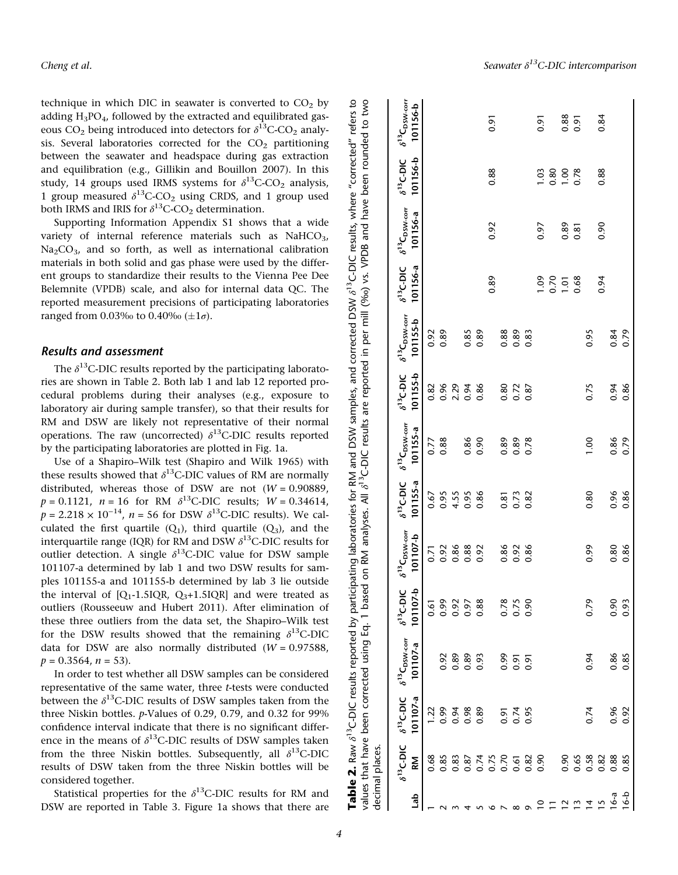technique in which DIC in seawater is converted to  $CO<sub>2</sub>$  by adding  $H_3PO_4$ , followed by the extracted and equilibrated gaseous  $CO_2$  being introduced into detectors for  $\delta^{13}$ C-CO<sub>2</sub> analysis. Several laboratories corrected for the  $CO<sub>2</sub>$  partitioning between the seawater and headspace during gas extraction and equilibration (e.g., Gillikin and Bouillon 2007). In this study, 14 groups used IRMS systems for  $\delta^{13}$ C-CO<sub>2</sub> analysis, 1 group measured  $\delta^{13}$ C-CO<sub>2</sub> using CRDS, and 1 group used both IRMS and IRIS for  $\delta^{13}$ C-CO<sub>2</sub> determination.

Supporting Information Appendix S1 shows that a wide variety of internal reference materials such as  $NaHCO<sub>3</sub>$ ,  $Na<sub>2</sub>CO<sub>3</sub>$ , and so forth, as well as international calibration materials in both solid and gas phase were used by the different groups to standardize their results to the Vienna Pee Dee Belemnite (VPDB) scale, and also for internal data QC. The reported measurement precisions of participating laboratories ranged from 0.03‰ to 0.40‰ ( $\pm 1\sigma$ ).

#### Results and assessment

The  $\delta^{13}$ C-DIC results reported by the participating laboratories are shown in Table 2. Both lab 1 and lab 12 reported procedural problems during their analyses (e.g., exposure to laboratory air during sample transfer), so that their results for RM and DSW are likely not representative of their normal operations. The raw (uncorrected)  $\delta^{13}$ C-DIC results reported by the participating laboratories are plotted in Fig. 1a.

Use of a Shapiro–Wilk test (Shapiro and Wilk 1965) with these results showed that  $\delta^{13}$ C-DIC values of RM are normally distributed, whereas those of DSW are not  $(W = 0.90889)$ ,  $p = 0.1121$ ,  $n = 16$  for RM  $\delta^{13}$ C-DIC results;  $W = 0.34614$ ,  $p = 2.218 \times 10^{-14}$ ,  $n = 56$  for DSW  $\delta^{13}$ C-DIC results). We calculated the first quartile  $(Q_1)$ , third quartile  $(Q_3)$ , and the interquartile range (IQR) for RM and DSW  $\delta^{13}$ C-DIC results for outlier detection. A single  $\delta^{13}$ C-DIC value for DSW sample 101107-a determined by lab 1 and two DSW results for samples 101155-a and 101155-b determined by lab 3 lie outside the interval of  $[Q_1-1.5IQR, Q_3+1.5IQR]$  and were treated as outliers (Rousseeuw and Hubert 2011). After elimination of these three outliers from the data set, the Shapiro–Wilk test for the DSW results showed that the remaining  $\delta^{13}$ C-DIC data for DSW are also normally distributed  $(W = 0.97588$ ,  $p = 0.3564$ ,  $n = 53$ ).

In order to test whether all DSW samples can be considered representative of the same water, three t-tests were conducted between the  $\delta^{13}$ C-DIC results of DSW samples taken from the three Niskin bottles. p-Values of 0.29, 0.79, and 0.32 for 99% confidence interval indicate that there is no significant difference in the means of  $\delta^{13}$ C-DIC results of DSW samples taken from the three Niskin bottles. Subsequently, all  $\delta^{13}$ C-DIC results of DSW taken from the three Niskin bottles will be considered together.

Statistical properties for the  $\delta^{13}$ C-DIC results for RM and DSW are reported in Table 3. Figure 1a shows that there are

Cheng et al.  $\mathcal{S}$  and  $\mathcal{S}^{13}$ C-DIC intercomparison

|                                              | decimal places.           |                                   |                                             |                                 |                                           |                                   |                                             |                                 |                                                               |                                 | Table 2. Raw 8 <sup>13</sup> C-DIC results reported by participating laboratories for RM and DSW samples, and corrected DSW 8 <sup>13</sup> C-DIC results, where "corrected" refers to<br>values that have been corrected using Eq. 1 based on RM analyses. All 8 <sup>13</sup> C-DIC results are reported in per mill (%o) vs. VPDB and have been rounded to two |                                 |                                           |
|----------------------------------------------|---------------------------|-----------------------------------|---------------------------------------------|---------------------------------|-------------------------------------------|-----------------------------------|---------------------------------------------|---------------------------------|---------------------------------------------------------------|---------------------------------|-------------------------------------------------------------------------------------------------------------------------------------------------------------------------------------------------------------------------------------------------------------------------------------------------------------------------------------------------------------------|---------------------------------|-------------------------------------------|
| de<br>La                                     | $\delta^{13}$ C-DIC<br>RM | $\delta^{13}$ C-DIC<br>$101107-a$ | $\delta^{13}C_{\rm DSW-corr}$<br>$101107-a$ | $\delta^{13}$ C-DIC<br>101107-b | $\delta^{13}C_{\rm DSW-corr}$<br>101107-b | $\delta^{13}$ C-DIC<br>$101155-a$ | $\delta^{13}C_{\rm DSW-corr}$<br>$101155-a$ | $\delta^{13}$ C-DIC<br>101155-b | $\delta^{13} \mathsf{C}_\mathsf{DSW\text{-corr}}$<br>101155-b | $\delta^{13}$ C-DIC<br>101156-a | $\delta^{13}C_{\rm DSW-corr}$<br>101156-a                                                                                                                                                                                                                                                                                                                         | 101156-b<br>$\delta^{13}$ C-DIC | $\delta^{13}C_{\rm DSW-corr}$<br>101156-b |
|                                              | 0.68                      | 1.22                              |                                             | 0.61                            | 0.71                                      | 0.67                              | 0.77                                        | 0.82                            | 0.92                                                          |                                 |                                                                                                                                                                                                                                                                                                                                                                   |                                 |                                           |
|                                              | 0.85                      | 0.99                              | 0.92                                        | 0.99                            | 0.92                                      | 0.95                              | 0.88                                        | 0.96                            | 0.89                                                          |                                 |                                                                                                                                                                                                                                                                                                                                                                   |                                 |                                           |
|                                              | 0.83                      | 0.94                              | 0.89                                        | 0.92                            | 0.86                                      | 4.55                              |                                             | 2.29                            |                                                               |                                 |                                                                                                                                                                                                                                                                                                                                                                   |                                 |                                           |
|                                              | 0.87                      | 0.98                              | 0.89                                        | 0.97                            | 0.88                                      | 0.95                              | 0.86                                        | 0.94                            | 0.85                                                          |                                 |                                                                                                                                                                                                                                                                                                                                                                   |                                 |                                           |
|                                              | 0.74                      | 0.89                              | 0.93                                        | 0.88                            | 0.92                                      | 0.86                              | 0.90                                        | 0.86                            | 0.89                                                          |                                 |                                                                                                                                                                                                                                                                                                                                                                   |                                 |                                           |
|                                              | 0.75                      |                                   |                                             |                                 |                                           |                                   |                                             |                                 |                                                               | 0.89                            | 0.92                                                                                                                                                                                                                                                                                                                                                              | 0.88                            | 0.91                                      |
|                                              | 0.70                      | 0.91                              | 0.99                                        |                                 | 0.86                                      | 0.81                              | 0.89                                        | 0.80                            | 0.88                                                          |                                 |                                                                                                                                                                                                                                                                                                                                                                   |                                 |                                           |
|                                              | 0.61                      | 0.74                              | 0.91                                        | 0.78                            | 0.92                                      | 0.73                              | 0.89                                        | 0.72                            | 0.89                                                          |                                 |                                                                                                                                                                                                                                                                                                                                                                   |                                 |                                           |
|                                              | 0.82                      | 0.95                              | 0.91                                        | 0.90                            | 0.86                                      | 0.82                              | 0.78                                        | 0.87                            | 0.83                                                          |                                 |                                                                                                                                                                                                                                                                                                                                                                   |                                 |                                           |
|                                              | 0.90                      |                                   |                                             |                                 |                                           |                                   |                                             |                                 |                                                               | 00.1                            | 0.97                                                                                                                                                                                                                                                                                                                                                              | 1.03                            | 0.91                                      |
|                                              |                           |                                   |                                             |                                 |                                           |                                   |                                             |                                 |                                                               | 0.70                            |                                                                                                                                                                                                                                                                                                                                                                   | 0.80                            |                                           |
|                                              | 0.90                      |                                   |                                             |                                 |                                           |                                   |                                             |                                 |                                                               | $\overline{1}$ .01              | 0.89                                                                                                                                                                                                                                                                                                                                                              | 00.1                            | 0.88                                      |
| $\overline{a}$ $\overline{a}$ $\overline{a}$ | 0.65                      |                                   |                                             |                                 |                                           |                                   |                                             |                                 |                                                               | 0.68                            | 0.81                                                                                                                                                                                                                                                                                                                                                              | 0.78                            | 0.91                                      |
|                                              | 0.58                      | 0.74                              | 0.94                                        | 0.79                            | 0.99                                      | 0.80                              | $\frac{8}{1}$                               | 0.75                            | 0.95                                                          |                                 |                                                                                                                                                                                                                                                                                                                                                                   |                                 |                                           |
| S                                            | 0.82                      |                                   |                                             |                                 |                                           |                                   |                                             |                                 |                                                               | 0.94                            | 0.90                                                                                                                                                                                                                                                                                                                                                              | 0.88                            | 0.84                                      |
| 16-a                                         | 0.88                      | 0.96                              | 0.86                                        | 0.90                            | 0.80                                      | 0.96                              | 0.86                                        | 0.94                            | 0.84                                                          |                                 |                                                                                                                                                                                                                                                                                                                                                                   |                                 |                                           |
| $6 - b$                                      | 0.85                      | 0.92                              | 0.85                                        | 0.93                            | 0.86                                      | 0.86                              | 0.79                                        | 0.86                            | 0.79                                                          |                                 |                                                                                                                                                                                                                                                                                                                                                                   |                                 |                                           |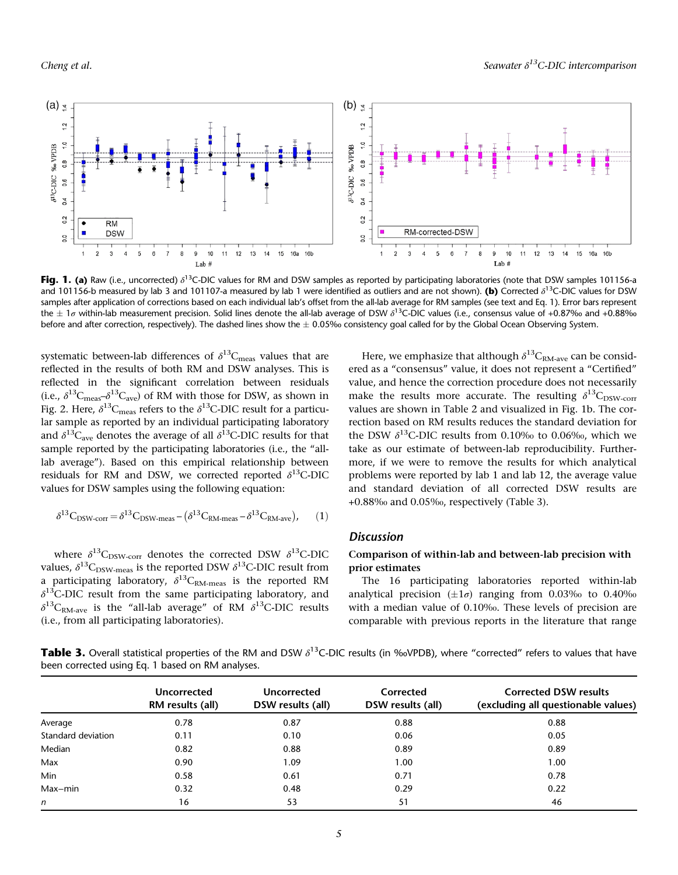

Fig. 1. (a) Raw (i.e., uncorrected)  $\delta^{13}$ C-DIC values for RM and DSW samples as reported by participating laboratories (note that DSW samples 101156-a and 101156-b measured by lab 3 and 101107-a measured by lab 1 were identified as outliers and are not shown). (b) Corrected  $\delta^{13}$ C-DIC values for DSW samples after application of corrections based on each individual lab's offset from the all-lab average for RM samples (see text and Eq. 1). Error bars represent the  $\pm$  1 $\sigma$  within-lab measurement precision. Solid lines denote the all-lab average of DSW  $\delta^{13}$ C-DIC values (i.e., consensus value of +0.87‰ and +0.88‰ before and after correction, respectively). The dashed lines show the  $\pm$  0.05‰ consistency goal called for by the Global Ocean Observing System.

systematic between-lab differences of  $\delta^{13}C_{\text{meas}}$  values that are reflected in the results of both RM and DSW analyses. This is reflected in the significant correlation between residuals (i.e.,  $\delta^{13}C_{\text{meas}} - \delta^{13}C_{\text{ave}}$ ) of RM with those for DSW, as shown in Fig. 2. Here,  $\delta^{13}$ C<sub>meas</sub> refers to the  $\delta^{13}$ C-DIC result for a particular sample as reported by an individual participating laboratory and  $\delta^{13}C_{\text{ave}}$  denotes the average of all  $\delta^{13}C$ -DIC results for that sample reported by the participating laboratories (i.e., the "alllab average"). Based on this empirical relationship between residuals for RM and DSW, we corrected reported  $\delta^{13}$ C-DIC values for DSW samples using the following equation:

$$
\delta^{13}C_{DSW\text{-}corr} = \delta^{13}C_{DSW\text{-}meas} - (\delta^{13}C_{RM\text{-}meas} - \delta^{13}C_{RM\text{-}ave}), \qquad (1)
$$

where  $\delta^{13}C_{DSW-corr}$  denotes the corrected DSW  $\delta^{13}C-DIC$ values,  $\delta^{13}C_{DSW-meas}$  is the reported DSW  $\delta^{13}C$ -DIC result from a participating laboratory,  $\delta^{13}C_{\text{RM-meas}}$  is the reported RM  $\delta^{13}$ C-DIC result from the same participating laboratory, and  $\delta^{13}C_{RM-ave}$  is the "all-lab average" of RM  $\delta^{13}C-DIC$  results (i.e., from all participating laboratories).

Here, we emphasize that although  $\delta^{13}C_{RM\text{-}ave}$  can be considered as a "consensus" value, it does not represent a "Certified" value, and hence the correction procedure does not necessarily make the results more accurate. The resulting  $\delta^{13}C_{DSW-corr}$ values are shown in Table 2 and visualized in Fig. 1b. The correction based on RM results reduces the standard deviation for the DSW  $\delta^{13}$ C-DIC results from 0.10‰ to 0.06‰, which we take as our estimate of between-lab reproducibility. Furthermore, if we were to remove the results for which analytical problems were reported by lab 1 and lab 12, the average value and standard deviation of all corrected DSW results are +0.88‰ and 0.05‰, respectively (Table 3).

## **Discussion**

## Comparison of within-lab and between-lab precision with prior estimates

The 16 participating laboratories reported within-lab analytical precision  $(\pm 1\sigma)$  ranging from 0.03‰ to 0.40‰ with a median value of 0.10‰. These levels of precision are comparable with previous reports in the literature that range

**Table 3.** Overall statistical properties of the RM and DSW  $\delta^{13}$ C-DIC results (in ‰VPDB), where "corrected" refers to values that have been corrected using Eq. 1 based on RM analyses.

|                    | <b>Uncorrected</b><br>RM results (all) | <b>Uncorrected</b><br>DSW results (all) | Corrected<br>DSW results (all) | <b>Corrected DSW results</b><br>(excluding all questionable values) |
|--------------------|----------------------------------------|-----------------------------------------|--------------------------------|---------------------------------------------------------------------|
| Average            | 0.78                                   | 0.87                                    | 0.88                           | 0.88                                                                |
| Standard deviation | 0.11                                   | 0.10                                    | 0.06                           | 0.05                                                                |
| Median             | 0.82                                   | 0.88                                    | 0.89                           | 0.89                                                                |
| Max                | 0.90                                   | 1.09                                    | 1.00                           | 1.00                                                                |
| Min                | 0.58                                   | 0.61                                    | 0.71                           | 0.78                                                                |
| Max-min            | 0.32                                   | 0.48                                    | 0.29                           | 0.22                                                                |
| $\mathsf{n}$       | 16                                     | 53                                      | 51                             | 46                                                                  |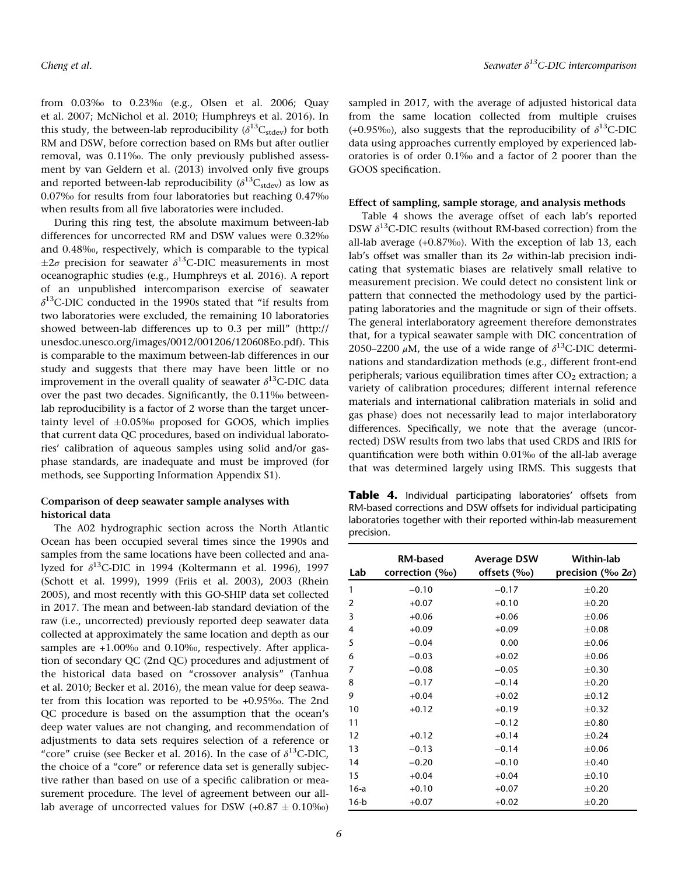from 0.03‰ to 0.23‰ (e.g., Olsen et al. 2006; Quay et al. 2007; McNichol et al. 2010; Humphreys et al. 2016). In this study, the between-lab reproducibility ( $\delta^{13}C_{\text{stdev}}$ ) for both RM and DSW, before correction based on RMs but after outlier removal, was 0.11‰. The only previously published assessment by van Geldern et al. (2013) involved only five groups and reported between-lab reproducibility ( $\delta^{13}C_{\text{stdev}}$ ) as low as 0.07‰ for results from four laboratories but reaching 0.47‰ when results from all five laboratories were included.

During this ring test, the absolute maximum between-lab differences for uncorrected RM and DSW values were 0.32‰ and 0.48‰, respectively, which is comparable to the typical  $\pm 2\sigma$  precision for seawater  $\delta^{13}$ C-DIC measurements in most oceanographic studies (e.g., Humphreys et al. 2016). A report of an unpublished intercomparison exercise of seawater  $\delta^{13}$ C-DIC conducted in the 1990s stated that "if results from two laboratories were excluded, the remaining 10 laboratories showed between-lab differences up to 0.3 per mill" ([http://](http://unesdoc.unesco.org/images/0012/001206/120608Eo.pdf) [unesdoc.unesco.org/images/0012/001206/120608Eo.pdf](http://unesdoc.unesco.org/images/0012/001206/120608Eo.pdf)). This is comparable to the maximum between-lab differences in our study and suggests that there may have been little or no improvement in the overall quality of seawater  $\delta^{13}$ C-DIC data over the past two decades. Significantly, the 0.11‰ betweenlab reproducibility is a factor of 2 worse than the target uncertainty level of  $\pm 0.05\%$  proposed for GOOS, which implies that current data QC procedures, based on individual laboratories' calibration of aqueous samples using solid and/or gasphase standards, are inadequate and must be improved (for methods, see Supporting Information Appendix S1).

## Comparison of deep seawater sample analyses with historical data

The A02 hydrographic section across the North Atlantic Ocean has been occupied several times since the 1990s and samples from the same locations have been collected and analyzed for  $\delta^{13}$ C-DIC in 1994 (Koltermann et al. 1996), 1997 (Schott et al. 1999), 1999 (Friis et al. 2003), 2003 (Rhein 2005), and most recently with this GO-SHIP data set collected in 2017. The mean and between-lab standard deviation of the raw (i.e., uncorrected) previously reported deep seawater data collected at approximately the same location and depth as our samples are +1.00‰ and 0.10‰, respectively. After application of secondary QC (2nd QC) procedures and adjustment of the historical data based on "crossover analysis" (Tanhua et al. 2010; Becker et al. 2016), the mean value for deep seawater from this location was reported to be +0.95‰. The 2nd QC procedure is based on the assumption that the ocean's deep water values are not changing, and recommendation of adjustments to data sets requires selection of a reference or "core" cruise (see Becker et al. 2016). In the case of  $\delta^{13}$ C-DIC, the choice of a "core" or reference data set is generally subjective rather than based on use of a specific calibration or measurement procedure. The level of agreement between our alllab average of uncorrected values for DSW  $(+0.87 \pm 0.10\%)$ 

sampled in 2017, with the average of adjusted historical data from the same location collected from multiple cruises (+0.95‰), also suggests that the reproducibility of  $\delta^{13}$ C-DIC data using approaches currently employed by experienced laboratories is of order 0.1‰ and a factor of 2 poorer than the GOOS specification.

#### Effect of sampling, sample storage, and analysis methods

Table 4 shows the average offset of each lab's reported DSW  $\delta^{13}$ C-DIC results (without RM-based correction) from the all-lab average (+0.87‰). With the exception of lab 13, each lab's offset was smaller than its  $2\sigma$  within-lab precision indicating that systematic biases are relatively small relative to measurement precision. We could detect no consistent link or pattern that connected the methodology used by the participating laboratories and the magnitude or sign of their offsets. The general interlaboratory agreement therefore demonstrates that, for a typical seawater sample with DIC concentration of 2050–2200  $\mu$ M, the use of a wide range of  $\delta^{13}$ C-DIC determinations and standardization methods (e.g., different front-end peripherals; various equilibration times after  $CO<sub>2</sub>$  extraction; a variety of calibration procedures; different internal reference materials and international calibration materials in solid and gas phase) does not necessarily lead to major interlaboratory differences. Specifically, we note that the average (uncorrected) DSW results from two labs that used CRDS and IRIS for quantification were both within 0.01‰ of the all-lab average that was determined largely using IRMS. This suggests that

Table 4. Individual participating laboratories' offsets from RM-based corrections and DSW offsets for individual participating laboratories together with their reported within-lab measurement precision.

| Lab    | <b>RM-based</b><br>correction (‰) | <b>Average DSW</b><br>offsets (‰) | Within-lab<br>precision (‰ $2\sigma$ ) |
|--------|-----------------------------------|-----------------------------------|----------------------------------------|
| 1      | $-0.10$                           | $-0.17$                           | $\pm 0.20$                             |
| 2      | $+0.07$                           | $+0.10$                           | $\pm 0.20$                             |
| 3      | $+0.06$                           | $+0.06$                           | $\pm 0.06$                             |
| 4      | $+0.09$                           | $+0.09$                           | $\pm 0.08$                             |
| 5      | $-0.04$                           | 0.00                              | $\pm 0.06$                             |
| 6      | $-0.03$                           | $+0.02$                           | $\pm 0.06$                             |
| 7      | $-0.08$                           | $-0.05$                           | $\pm 0.30$                             |
| 8      | $-0.17$                           | $-0.14$                           | $\pm 0.20$                             |
| 9      | $+0.04$                           | $+0.02$                           | $\pm$ 0.12                             |
| 10     | $+0.12$                           | $+0.19$                           | $\pm$ 0.32                             |
| 11     |                                   | $-0.12$                           | $\pm 0.80$                             |
| 12     | $+0.12$                           | $+0.14$                           | $\pm 0.24$                             |
| 13     | $-0.13$                           | $-0.14$                           | $\pm 0.06$                             |
| 14     | $-0.20$                           | $-0.10$                           | $\pm 0.40$                             |
| 15     | $+0.04$                           | $+0.04$                           | $\pm 0.10$                             |
| $16-a$ | $+0.10$                           | $+0.07$                           | $\pm 0.20$                             |
| $16-b$ | $+0.07$                           | $+0.02$                           | $\pm 0.20$                             |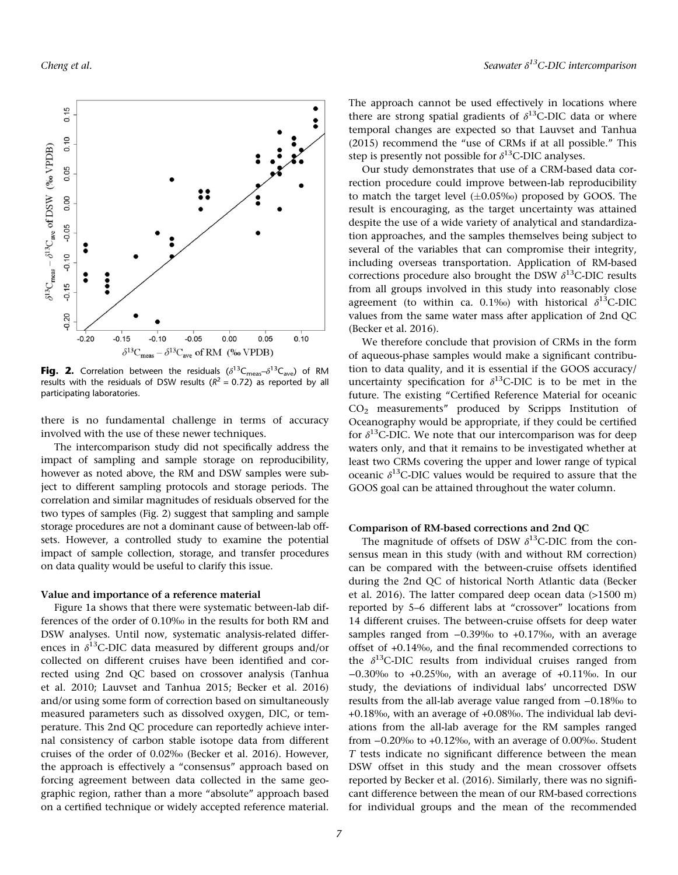

**Fig. 2.** Correlation between the residuals ( $\delta^{13}C_{\text{meas}} - \delta^{13}C_{\text{ave}}$ ) of RM results with the residuals of DSW results ( $R^2 = 0.72$ ) as reported by all participating laboratories.

there is no fundamental challenge in terms of accuracy involved with the use of these newer techniques.

The intercomparison study did not specifically address the impact of sampling and sample storage on reproducibility, however as noted above, the RM and DSW samples were subject to different sampling protocols and storage periods. The correlation and similar magnitudes of residuals observed for the two types of samples (Fig. 2) suggest that sampling and sample storage procedures are not a dominant cause of between-lab offsets. However, a controlled study to examine the potential impact of sample collection, storage, and transfer procedures on data quality would be useful to clarify this issue.

#### Value and importance of a reference material

Figure 1a shows that there were systematic between-lab differences of the order of 0.10‰ in the results for both RM and DSW analyses. Until now, systematic analysis-related differences in  $\delta^{13}$ C-DIC data measured by different groups and/or collected on different cruises have been identified and corrected using 2nd QC based on crossover analysis (Tanhua et al. 2010; Lauvset and Tanhua 2015; Becker et al. 2016) and/or using some form of correction based on simultaneously measured parameters such as dissolved oxygen, DIC, or temperature. This 2nd QC procedure can reportedly achieve internal consistency of carbon stable isotope data from different cruises of the order of 0.02‰ (Becker et al. 2016). However, the approach is effectively a "consensus" approach based on forcing agreement between data collected in the same geographic region, rather than a more "absolute" approach based on a certified technique or widely accepted reference material.

The approach cannot be used effectively in locations where there are strong spatial gradients of  $\delta^{13}$ C-DIC data or where temporal changes are expected so that Lauvset and Tanhua (2015) recommend the "use of CRMs if at all possible." This step is presently not possible for  $\delta^{13}$ C-DIC analyses.

Our study demonstrates that use of a CRM-based data correction procedure could improve between-lab reproducibility to match the target level  $(\pm 0.05\%)$  proposed by GOOS. The result is encouraging, as the target uncertainty was attained despite the use of a wide variety of analytical and standardization approaches, and the samples themselves being subject to several of the variables that can compromise their integrity, including overseas transportation. Application of RM-based corrections procedure also brought the DSW  $\delta^{13}$ C-DIC results from all groups involved in this study into reasonably close agreement (to within ca. 0.1‰) with historical  $\delta^{13}$ C-DIC values from the same water mass after application of 2nd QC (Becker et al. 2016).

We therefore conclude that provision of CRMs in the form of aqueous-phase samples would make a significant contribution to data quality, and it is essential if the GOOS accuracy/ uncertainty specification for  $\delta^{13}$ C-DIC is to be met in the future. The existing "Certified Reference Material for oceanic CO2 measurements" produced by Scripps Institution of Oceanography would be appropriate, if they could be certified for  $\delta^{13}$ C-DIC. We note that our intercomparison was for deep waters only, and that it remains to be investigated whether at least two CRMs covering the upper and lower range of typical oceanic  $\delta^{13}$ C-DIC values would be required to assure that the GOOS goal can be attained throughout the water column.

## Comparison of RM-based corrections and 2nd QC

The magnitude of offsets of DSW  $\delta^{13}$ C-DIC from the consensus mean in this study (with and without RM correction) can be compared with the between-cruise offsets identified during the 2nd QC of historical North Atlantic data (Becker et al. 2016). The latter compared deep ocean data (>1500 m) reported by 5–6 different labs at "crossover" locations from 14 different cruises. The between-cruise offsets for deep water samples ranged from −0.39‰ to +0.17‰, with an average offset of +0.14‰, and the final recommended corrections to the  $\delta^{13}$ C-DIC results from individual cruises ranged from −0.30‰ to +0.25‰, with an average of +0.11‰. In our study, the deviations of individual labs' uncorrected DSW results from the all-lab average value ranged from −0.18‰ to +0.18‰, with an average of +0.08‰. The individual lab deviations from the all-lab average for the RM samples ranged from −0.20‰ to +0.12‰, with an average of 0.00‰. Student  $T$  tests indicate no significant difference between the mean DSW offset in this study and the mean crossover offsets reported by Becker et al. (2016). Similarly, there was no significant difference between the mean of our RM-based corrections for individual groups and the mean of the recommended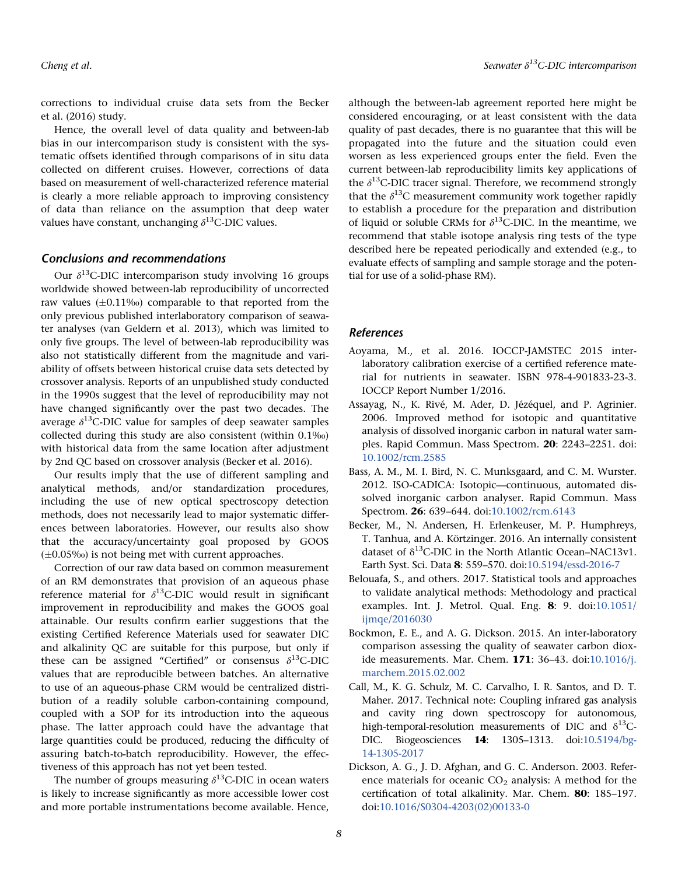corrections to individual cruise data sets from the Becker et al. (2016) study.

Hence, the overall level of data quality and between-lab bias in our intercomparison study is consistent with the systematic offsets identified through comparisons of in situ data collected on different cruises. However, corrections of data based on measurement of well-characterized reference material is clearly a more reliable approach to improving consistency of data than reliance on the assumption that deep water values have constant, unchanging  $\delta^{13}$ C-DIC values.

## Conclusions and recommendations

Our  $\delta^{13}$ C-DIC intercomparison study involving 16 groups worldwide showed between-lab reproducibility of uncorrected raw values  $(\pm 0.11\%)$  comparable to that reported from the only previous published interlaboratory comparison of seawater analyses (van Geldern et al. 2013), which was limited to only five groups. The level of between-lab reproducibility was also not statistically different from the magnitude and variability of offsets between historical cruise data sets detected by crossover analysis. Reports of an unpublished study conducted in the 1990s suggest that the level of reproducibility may not have changed significantly over the past two decades. The average  $\delta^{13}$ C-DIC value for samples of deep seawater samples collected during this study are also consistent (within 0.1‰) with historical data from the same location after adjustment by 2nd QC based on crossover analysis (Becker et al. 2016).

Our results imply that the use of different sampling and analytical methods, and/or standardization procedures, including the use of new optical spectroscopy detection methods, does not necessarily lead to major systematic differences between laboratories. However, our results also show that the accuracy/uncertainty goal proposed by GOOS  $(\pm 0.05\%)$  is not being met with current approaches.

Correction of our raw data based on common measurement of an RM demonstrates that provision of an aqueous phase reference material for  $\delta^{13}$ C-DIC would result in significant improvement in reproducibility and makes the GOOS goal attainable. Our results confirm earlier suggestions that the existing Certified Reference Materials used for seawater DIC and alkalinity QC are suitable for this purpose, but only if these can be assigned "Certified" or consensus  $\delta^{13}$ C-DIC values that are reproducible between batches. An alternative to use of an aqueous-phase CRM would be centralized distribution of a readily soluble carbon-containing compound, coupled with a SOP for its introduction into the aqueous phase. The latter approach could have the advantage that large quantities could be produced, reducing the difficulty of assuring batch-to-batch reproducibility. However, the effectiveness of this approach has not yet been tested.

The number of groups measuring  $\delta^{13}$ C-DIC in ocean waters is likely to increase significantly as more accessible lower cost and more portable instrumentations become available. Hence,

although the between-lab agreement reported here might be considered encouraging, or at least consistent with the data quality of past decades, there is no guarantee that this will be propagated into the future and the situation could even worsen as less experienced groups enter the field. Even the current between-lab reproducibility limits key applications of the  $\delta^{13}$ C-DIC tracer signal. Therefore, we recommend strongly that the  $\delta^{13}$ C measurement community work together rapidly to establish a procedure for the preparation and distribution of liquid or soluble CRMs for  $\delta^{13}$ C-DIC. In the meantime, we recommend that stable isotope analysis ring tests of the type described here be repeated periodically and extended (e.g., to evaluate effects of sampling and sample storage and the potential for use of a solid-phase RM).

## References

- Aoyama, M., et al. 2016. IOCCP-JAMSTEC 2015 interlaboratory calibration exercise of a certified reference material for nutrients in seawater. ISBN 978-4-901833-23-3. IOCCP Report Number 1/2016.
- Assayag, N., K. Rivé, M. Ader, D. Jézéquel, and P. Agrinier. 2006. Improved method for isotopic and quantitative analysis of dissolved inorganic carbon in natural water samples. Rapid Commun. Mass Spectrom. 20: 2243–2251. doi: [10.1002/rcm.2585](info:doi/10.1002/rcm.2585)
- Bass, A. M., M. I. Bird, N. C. Munksgaard, and C. M. Wurster. 2012. ISO-CADICA: Isotopic—continuous, automated dissolved inorganic carbon analyser. Rapid Commun. Mass Spectrom. 26: 639–644. doi:[10.1002/rcm.6143](info:doi/10.1002/rcm.6143)
- Becker, M., N. Andersen, H. Erlenkeuser, M. P. Humphreys, T. Tanhua, and A. Körtzinger. 2016. An internally consistent dataset of  $\delta^{13}$ C-DIC in the North Atlantic Ocean–NAC13v1. Earth Syst. Sci. Data 8: 559–570. doi[:10.5194/essd-2016-7](info:doi/10.5194/essd-2016-7)
- Belouafa, S., and others. 2017. Statistical tools and approaches to validate analytical methods: Methodology and practical examples. Int. J. Metrol. Qual. Eng. 8: 9. doi[:10.1051/](info:doi/10.1051/ijmqe/2016030) [ijmqe/2016030](info:doi/10.1051/ijmqe/2016030)
- Bockmon, E. E., and A. G. Dickson. 2015. An inter-laboratory comparison assessing the quality of seawater carbon dioxide measurements. Mar. Chem. 171: 36–43. doi[:10.1016/j.](info:doi/10.1016/j.marchem.2015.02.002) [marchem.2015.02.002](info:doi/10.1016/j.marchem.2015.02.002)
- Call, M., K. G. Schulz, M. C. Carvalho, I. R. Santos, and D. T. Maher. 2017. Technical note: Coupling infrared gas analysis and cavity ring down spectroscopy for autonomous, high-temporal-resolution measurements of DIC and  $\delta^{13}$ C-DIC. Biogeosciences 14: 1305–1313. doi[:10.5194/bg-](info:doi/10.5194/bg-14-1305-2017)[14-1305-2017](info:doi/10.5194/bg-14-1305-2017)
- Dickson, A. G., J. D. Afghan, and G. C. Anderson. 2003. Reference materials for oceanic  $CO<sub>2</sub>$  analysis: A method for the certification of total alkalinity. Mar. Chem. 80: 185–197. doi:[10.1016/S0304-4203\(02\)00133-0](info:doi/10.1016/S0304-4203(02)00133-0)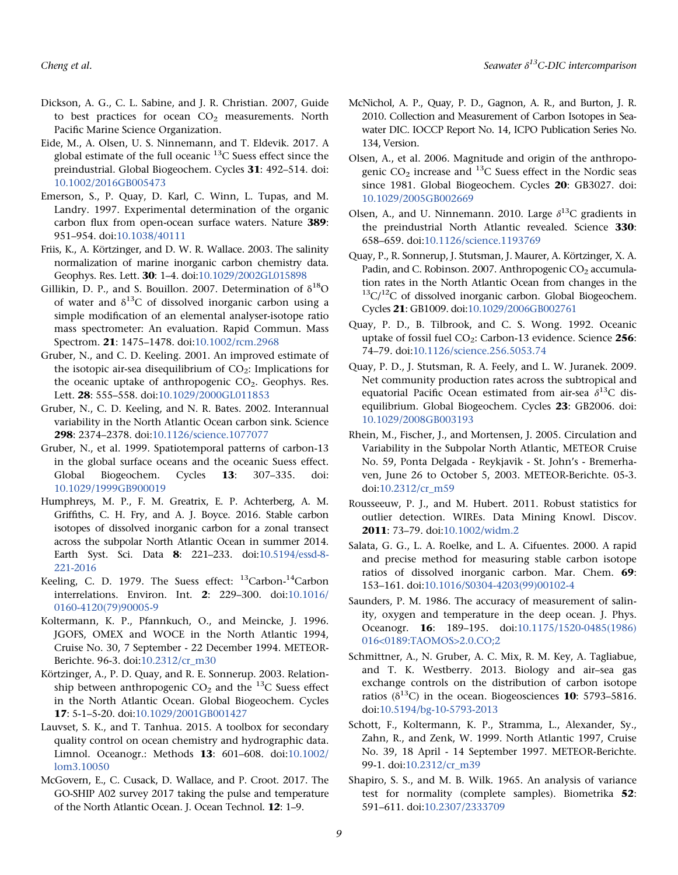- Dickson, A. G., C. L. Sabine, and J. R. Christian. 2007, Guide to best practices for ocean  $CO<sub>2</sub>$  measurements. North Pacific Marine Science Organization.
- Eide, M., A. Olsen, U. S. Ninnemann, and T. Eldevik. 2017. A global estimate of the full oceanic  $^{13}$ C Suess effect since the preindustrial. Global Biogeochem. Cycles 31: 492–514. doi: [10.1002/2016GB005473](info:doi/10.1002/2016GB005473)
- Emerson, S., P. Quay, D. Karl, C. Winn, L. Tupas, and M. Landry. 1997. Experimental determination of the organic carbon flux from open-ocean surface waters. Nature 389: 951–954. doi[:10.1038/40111](info:doi/10.1038/40111)
- Friis, K., A. Körtzinger, and D. W. R. Wallace. 2003. The salinity normalization of marine inorganic carbon chemistry data. Geophys. Res. Lett. 30: 1–4. doi[:10.1029/2002GL015898](info:doi/10.1029/2002GL015898)
- Gillikin, D. P., and S. Bouillon. 2007. Determination of  $\delta^{18}O$ of water and  $\delta^{13}$ C of dissolved inorganic carbon using a simple modification of an elemental analyser-isotope ratio mass spectrometer: An evaluation. Rapid Commun. Mass Spectrom. 21: 1475–1478. doi[:10.1002/rcm.2968](info:doi/10.1002/rcm.2968)
- Gruber, N., and C. D. Keeling. 2001. An improved estimate of the isotopic air-sea disequilibrium of  $CO<sub>2</sub>$ : Implications for the oceanic uptake of anthropogenic  $CO<sub>2</sub>$ . Geophys. Res. Lett. 28: 555–558. doi:[10.1029/2000GL011853](info:doi/10.1029/2000GL011853)
- Gruber, N., C. D. Keeling, and N. R. Bates. 2002. Interannual variability in the North Atlantic Ocean carbon sink. Science 298: 2374–2378. doi:[10.1126/science.1077077](info:doi/10.1126/science.1077077)
- Gruber, N., et al. 1999. Spatiotemporal patterns of carbon-13 in the global surface oceans and the oceanic Suess effect. Global Biogeochem. Cycles 13: 307–335. doi: [10.1029/1999GB900019](info:doi/10.1029/1999GB900019)
- Humphreys, M. P., F. M. Greatrix, E. P. Achterberg, A. M. Griffiths, C. H. Fry, and A. J. Boyce. 2016. Stable carbon isotopes of dissolved inorganic carbon for a zonal transect across the subpolar North Atlantic Ocean in summer 2014. Earth Syst. Sci. Data 8: 221–233. doi[:10.5194/essd-8-](info:doi/10.5194/essd-8-221-2016) [221-2016](info:doi/10.5194/essd-8-221-2016)
- Keeling, C. D. 1979. The Suess effect:  $^{13}$ Carbon- $^{14}$ Carbon interrelations. Environ. Int. 2: 229–300. doi[:10.1016/](info:doi/10.1016/0160-4120(79)90005-9) [0160-4120\(79\)90005-9](info:doi/10.1016/0160-4120(79)90005-9)
- Koltermann, K. P., Pfannkuch, O., and Meincke, J. 1996. JGOFS, OMEX and WOCE in the North Atlantic 1994, Cruise No. 30, 7 September - 22 December 1994. METEOR-Berichte. 96-3. doi[:10.2312/cr\\_m30](info:doi/10.2312/cr_m30)
- Körtzinger, A., P. D. Quay, and R. E. Sonnerup. 2003. Relationship between anthropogenic  $CO<sub>2</sub>$  and the <sup>13</sup>C Suess effect in the North Atlantic Ocean. Global Biogeochem. Cycles 17: 5-1–5-20. doi[:10.1029/2001GB001427](info:doi/10.1029/2001GB001427)
- Lauvset, S. K., and T. Tanhua. 2015. A toolbox for secondary quality control on ocean chemistry and hydrographic data. Limnol. Oceanogr.: Methods 13: 601–608. doi[:10.1002/](info:doi/10.1002/lom3.10050) [lom3.10050](info:doi/10.1002/lom3.10050)
- McGovern, E., C. Cusack, D. Wallace, and P. Croot. 2017. The GO-SHIP A02 survey 2017 taking the pulse and temperature of the North Atlantic Ocean. J. Ocean Technol. 12: 1–9.
- McNichol, A. P., Quay, P. D., Gagnon, A. R., and Burton, J. R. 2010. Collection and Measurement of Carbon Isotopes in Seawater DIC. IOCCP Report No. 14, ICPO Publication Series No. 134, Version.
- Olsen, A., et al. 2006. Magnitude and origin of the anthropogenic  $CO<sub>2</sub>$  increase and  $^{13}$ C Suess effect in the Nordic seas since 1981. Global Biogeochem. Cycles 20: GB3027. doi: [10.1029/2005GB002669](info:doi/10.1029/2005GB002669)
- Olsen, A., and U. Ninnemann. 2010. Large  $\delta^{13}C$  gradients in the preindustrial North Atlantic revealed. Science 330: 658–659. doi:[10.1126/science.1193769](info:doi/10.1126/science.1193769)
- Quay, P., R. Sonnerup, J. Stutsman, J. Maurer, A. Körtzinger, X. A. Padin, and C. Robinson. 2007. Anthropogenic CO<sub>2</sub> accumulation rates in the North Atlantic Ocean from changes in the  $13C/12C$  of dissolved inorganic carbon. Global Biogeochem. Cycles 21: GB1009. doi:[10.1029/2006GB002761](info:doi/10.1029/2006GB002761)
- Quay, P. D., B. Tilbrook, and C. S. Wong. 1992. Oceanic uptake of fossil fuel  $CO_2$ : Carbon-13 evidence. Science 256: 74–79. doi[:10.1126/science.256.5053.74](info:doi/10.1126/science.256.5053.74)
- Quay, P. D., J. Stutsman, R. A. Feely, and L. W. Juranek. 2009. Net community production rates across the subtropical and equatorial Pacific Ocean estimated from air-sea  $\delta^{13}$ C disequilibrium. Global Biogeochem. Cycles 23: GB2006. doi: [10.1029/2008GB003193](info:doi/10.1029/2008GB003193)
- Rhein, M., Fischer, J., and Mortensen, J. 2005. Circulation and Variability in the Subpolar North Atlantic, METEOR Cruise No. 59, Ponta Delgada - Reykjavik - St. John's - Bremerhaven, June 26 to October 5, 2003. METEOR-Berichte. 05-3. doi:[10.2312/cr\\_m59](info:doi/10.2312/cr_m59)
- Rousseeuw, P. J., and M. Hubert. 2011. Robust statistics for outlier detection. WIREs. Data Mining Knowl. Discov. 2011: 73–79. doi:[10.1002/widm.2](info:doi/10.1002/widm.2)
- Salata, G. G., L. A. Roelke, and L. A. Cifuentes. 2000. A rapid and precise method for measuring stable carbon isotope ratios of dissolved inorganic carbon. Mar. Chem. 69: 153–161. doi:[10.1016/S0304-4203\(99\)00102-4](info:doi/10.1016/S0304-4203(99)00102-4)
- Saunders, P. M. 1986. The accuracy of measurement of salinity, oxygen and temperature in the deep ocean. J. Phys. Oceanogr. 16: 189–195. doi[:10.1175/1520-0485\(1986\)](info:doi/10.1175/1520-0485(1986)016<0189:TAOMOS>2.0.CO;2) [016<0189:TAOMOS>2.0.CO;2](info:doi/10.1175/1520-0485(1986)016<0189:TAOMOS>2.0.CO;2)
- Schmittner, A., N. Gruber, A. C. Mix, R. M. Key, A. Tagliabue, and T. K. Westberry. 2013. Biology and air–sea gas exchange controls on the distribution of carbon isotope ratios ( $\delta^{13}$ C) in the ocean. Biogeosciences **10**: 5793–5816. doi:[10.5194/bg-10-5793-2013](info:doi/10.5194/bg-10-5793-2013)
- Schott, F., Koltermann, K. P., Stramma, L., Alexander, Sy., Zahn, R., and Zenk, W. 1999. North Atlantic 1997, Cruise No. 39, 18 April - 14 September 1997. METEOR-Berichte. 99-1. doi[:10.2312/cr\\_m39](info:doi/10.2312/cr_m39)
- Shapiro, S. S., and M. B. Wilk. 1965. An analysis of variance test for normality (complete samples). Biometrika 52: 591–611. doi:[10.2307/2333709](info:doi/10.2307/2333709)